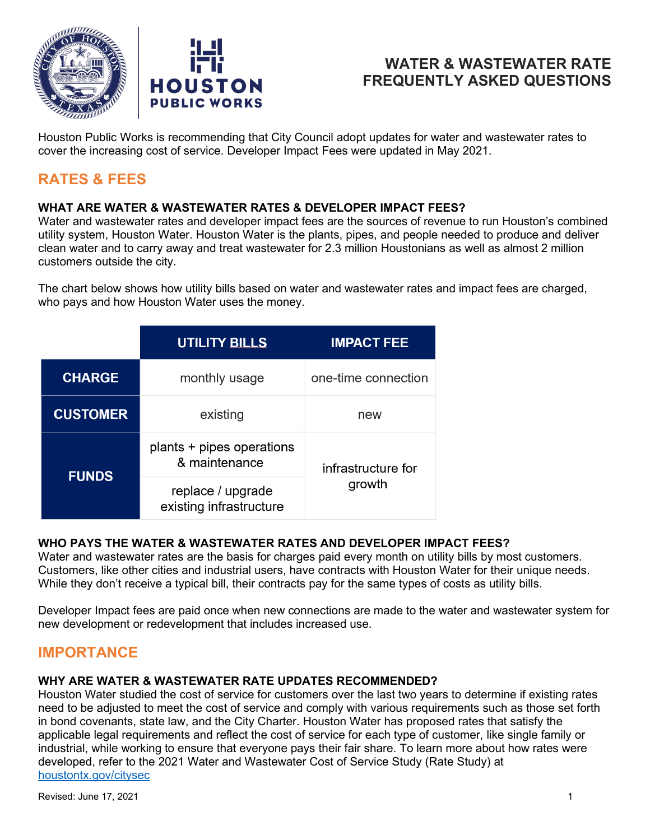



Houston Public Works is recommending that City Council adopt updates for water and wastewater rates to cover the increasing cost of service. Developer Impact Fees were updated in May 2021.

# **RATES & FEES**

## **WHAT ARE WATER & WASTEWATER RATES & DEVELOPER IMPACT FEES?**

Water and wastewater rates and developer impact fees are the sources of revenue to run Houston's combined utility system, Houston Water. Houston Water is the plants, pipes, and people needed to produce and deliver clean water and to carry away and treat wastewater for 2.3 million Houstonians as well as almost 2 million customers outside the city.

The chart below shows how utility bills based on water and wastewater rates and impact fees are charged, who pays and how Houston Water uses the money.

|                 | <b>UTILITY BILLS</b>                         | <b>IMPACT FEE</b>   |  |  |
|-----------------|----------------------------------------------|---------------------|--|--|
| <b>CHARGE</b>   | monthly usage                                | one-time connection |  |  |
| <b>CUSTOMER</b> | existing                                     | new                 |  |  |
| <b>FUNDS</b>    | plants + pipes operations<br>& maintenance   | infrastructure for  |  |  |
|                 | replace / upgrade<br>existing infrastructure | growth              |  |  |

## **WHO PAYS THE WATER & WASTEWATER RATES AND DEVELOPER IMPACT FEES?**

Water and wastewater rates are the basis for charges paid every month on utility bills by most customers. Customers, like other cities and industrial users, have contracts with Houston Water for their unique needs. While they don't receive a typical bill, their contracts pay for the same types of costs as utility bills.

Developer Impact fees are paid once when new connections are made to the water and wastewater system for new development or redevelopment that includes increased use.

## **IMPORTANCE**

#### **WHY ARE WATER & WASTEWATER RATE UPDATES RECOMMENDED?**

Houston Water studied the cost of service for customers over the last two years to determine if existing rates need to be adjusted to meet the cost of service and comply with various requirements such as those set forth in bond covenants, state law, and the City Charter. Houston Water has proposed rates that satisfy the applicable legal requirements and reflect the cost of service for each type of customer, like single family or industrial, while working to ensure that everyone pays their fair share. To learn more about how rates were developed, refer to the 2021 Water and Wastewater Cost of Service Study (Rate Study) at [houstontx.gov/citysec](www.houstontx.gov/citysec/)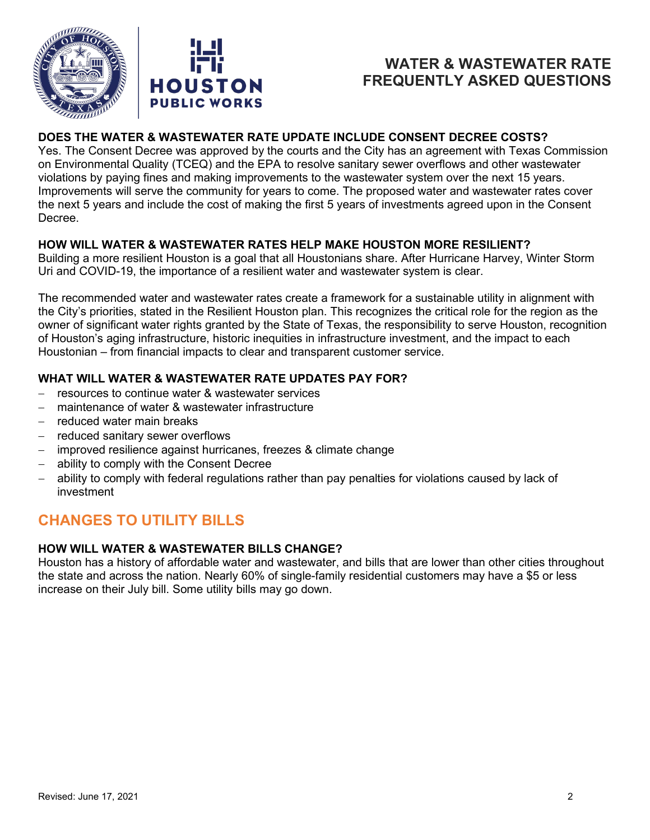

## **DOES THE WATER & WASTEWATER RATE UPDATE INCLUDE CONSENT DECREE COSTS?**

Yes. The Consent Decree was approved by the courts and the City has an agreement with Texas Commission on Environmental Quality (TCEQ) and the EPA to resolve sanitary sewer overflows and other wastewater violations by paying fines and making improvements to the wastewater system over the next 15 years. Improvements will serve the community for years to come. The proposed water and wastewater rates cover the next 5 years and include the cost of making the first 5 years of investments agreed upon in the Consent Decree.

## **HOW WILL WATER & WASTEWATER RATES HELP MAKE HOUSTON MORE RESILIENT?**

Building a more resilient Houston is a goal that all Houstonians share. After Hurricane Harvey, Winter Storm Uri and COVID-19, the importance of a resilient water and wastewater system is clear.

The recommended water and wastewater rates create a framework for a sustainable utility in alignment with the City's priorities, stated in the Resilient Houston plan. This recognizes the critical role for the region as the owner of significant water rights granted by the State of Texas, the responsibility to serve Houston, recognition of Houston's aging infrastructure, historic inequities in infrastructure investment, and the impact to each Houstonian – from financial impacts to clear and transparent customer service.

## **WHAT WILL WATER & WASTEWATER RATE UPDATES PAY FOR?**

- − resources to continue water & wastewater services
- maintenance of water & wastewater infrastructure
- − reduced water main breaks
- reduced sanitary sewer overflows
- improved resilience against hurricanes, freezes & climate change
- ability to comply with the Consent Decree
- ability to comply with federal regulations rather than pay penalties for violations caused by lack of investment

# **CHANGES TO UTILITY BILLS**

#### **HOW WILL WATER & WASTEWATER BILLS CHANGE?**

Houston has a history of affordable water and wastewater, and bills that are lower than other cities throughout the state and across the nation. Nearly 60% of single-family residential customers may have a \$5 or less increase on their July bill. Some utility bills may go down.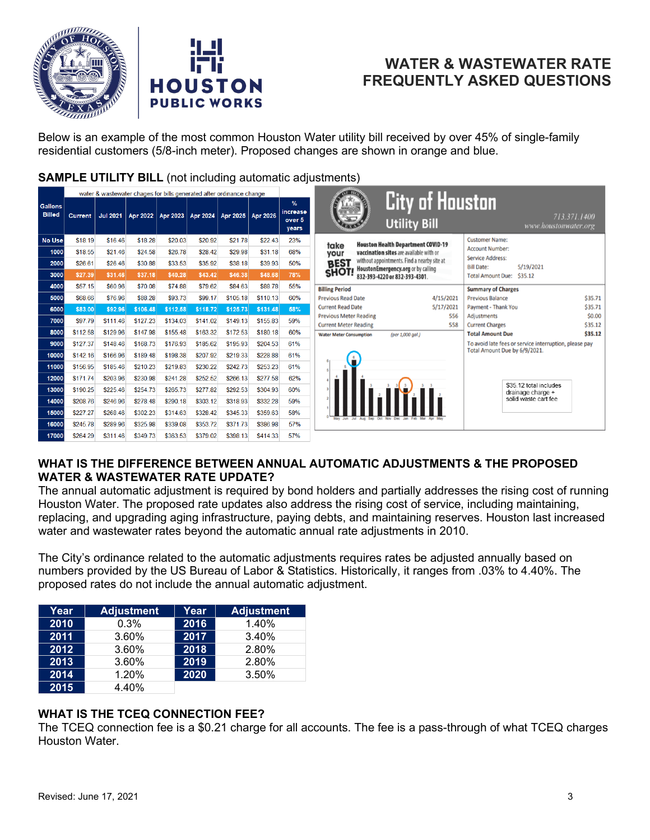



Below is an example of the most common Houston Water utility bill received by over 45% of single-family residential customers (5/8-inch meter). Proposed changes are shown in orange and blue.

### **SAMPLE UTILITY BILL** (not including automatic adjustments)

|                                 | water & wastewater chages for bills generated after ordinance change |                 |          |          |          |          |          |                                     |
|---------------------------------|----------------------------------------------------------------------|-----------------|----------|----------|----------|----------|----------|-------------------------------------|
| <b>Gallons</b><br><b>Billed</b> | <b>Current</b>                                                       | <b>Jul 2021</b> | Apr 2022 | Apr 2023 | Apr 2024 | Apr 2025 | Apr 2026 | $\%$<br>increase<br>over 5<br>years |
| <b>No Use</b>                   | \$18.19                                                              | \$16.46         | \$18.28  | \$20.03  | \$20.92  | \$21.78  | \$22.43  | 23%                                 |
| 1000                            | \$18.55                                                              | \$21.46         | \$24.58  | \$26.78  | \$28.42  | \$29.98  | \$31.18  | 68%                                 |
| 2000                            | \$26.61                                                              | \$26.46         | \$30.88  | \$33.53  | \$35.92  | \$38.18  | \$39.93  | 50%                                 |
| 3000                            | \$27.39                                                              | \$31.46         | \$37.18  | \$40.28  | \$43.42  | \$46.38  | \$48.68  | 78%                                 |
| 4000                            | \$57.15                                                              | \$60.96         | \$70.08  | \$74.88  | \$79.62  | \$84.63  | \$88.78  | 55%                                 |
| 5000                            | \$68.66                                                              | \$76.96         | \$88.28  | \$93.73  | \$99.17  | \$105.18 | \$110.13 | 60%                                 |
| 6000                            | \$83.00                                                              | \$92.96         | \$106.48 | \$112.58 | \$118.72 | \$125.73 | \$131.48 | 58%                                 |
| 7000                            | \$97.79                                                              | \$111.46        | \$127.23 | \$134.03 | \$141.02 | \$149.13 | \$155.83 | 59%                                 |
| 8000                            | \$112.58                                                             | \$129.96        | \$147.98 | \$155.48 | \$163.32 | \$172.53 | \$180.18 | 60%                                 |
| 9000                            | \$127.37                                                             | \$148.46        | \$168.73 | \$176.93 | \$185.62 | \$195.93 | \$204.53 | 61%                                 |
| 10000                           | \$142.16                                                             | \$166.96        | \$189.48 | \$198.38 | \$207.92 | \$219.33 | \$228.88 | 61%                                 |
| 11000                           | \$156.95                                                             | \$185.46        | \$210.23 | \$219.83 | \$230.22 | \$242.73 | \$253.23 | 61%                                 |
| 12000                           | \$171.74                                                             | \$203.96        | \$230.98 | \$241.28 | \$252.52 | \$266.13 | \$277.58 | 62%                                 |
| 13000                           | \$190.25                                                             | \$225.46        | \$254.73 | \$265.73 | \$277.82 | \$292.53 | \$304.93 | 60%                                 |
| 14000                           | \$208.76                                                             | \$246.96        | \$278.48 | \$290.18 | \$303.12 | \$318.93 | \$332.28 | 59%                                 |
| 15000                           | \$227.27                                                             | \$268.46        | \$302.23 | \$314.63 | \$328.42 | \$345.33 | \$359.63 | 58%                                 |
| 16000                           | \$245.78                                                             | \$289.96        | \$325.98 | \$339.08 | \$353.72 | \$371.73 | \$386.98 | 57%                                 |
| 17000                           | \$264.29                                                             | \$311.46        | \$349.73 | \$363.53 | \$379.02 | \$398.13 | \$414.33 | 57%                                 |



#### **WHAT IS THE DIFFERENCE BETWEEN ANNUAL AUTOMATIC ADJUSTMENTS & THE PROPOSED WATER & WASTEWATER RATE UPDATE?**

The annual automatic adjustment is required by bond holders and partially addresses the rising cost of running Houston Water. The proposed rate updates also address the rising cost of service, including maintaining, replacing, and upgrading aging infrastructure, paying debts, and maintaining reserves. Houston last increased water and wastewater rates beyond the automatic annual rate adjustments in 2010.

The City's ordinance related to the automatic adjustments requires rates be adjusted annually based on numbers provided by the US Bureau of Labor & Statistics. Historically, it ranges from .03% to 4.40%. The proposed rates do not include the annual automatic adjustment.

| Year | <b>Adjustment</b> | Year | <b>Adjustment</b> |
|------|-------------------|------|-------------------|
| 2010 | 0.3%              | 2016 | 1.40%             |
| 2011 | 3.60%             | 2017 | 3.40%             |
| 2012 | 3.60%             | 2018 | 2.80%             |
| 2013 | 3.60%             | 2019 | 2.80%             |
| 2014 | 1.20%             | 2020 | 3.50%             |
| 2015 | 4.40%             |      |                   |

## **WHAT IS THE TCEQ CONNECTION FEE?**

The TCEQ connection fee is a \$0.21 charge for all accounts. The fee is a pass-through of what TCEQ charges Houston Water.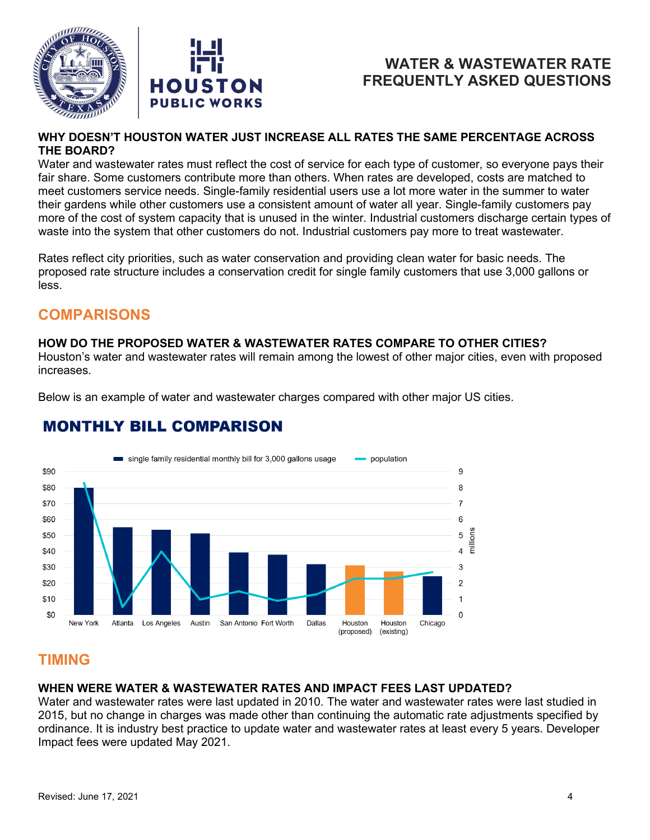



#### **WHY DOESN'T HOUSTON WATER JUST INCREASE ALL RATES THE SAME PERCENTAGE ACROSS THE BOARD?**

Water and wastewater rates must reflect the cost of service for each type of customer, so everyone pays their fair share. Some customers contribute more than others. When rates are developed, costs are matched to meet customers service needs. Single-family residential users use a lot more water in the summer to water their gardens while other customers use a consistent amount of water all year. Single-family customers pay more of the cost of system capacity that is unused in the winter. Industrial customers discharge certain types of waste into the system that other customers do not. Industrial customers pay more to treat wastewater.

Rates reflect city priorities, such as water conservation and providing clean water for basic needs. The proposed rate structure includes a conservation credit for single family customers that use 3,000 gallons or less.

# **COMPARISONS**

#### **HOW DO THE PROPOSED WATER & WASTEWATER RATES COMPARE TO OTHER CITIES?**

Houston's water and wastewater rates will remain among the lowest of other major cities, even with proposed increases.

Below is an example of water and wastewater charges compared with other major US cities.

#### single family residential monthly bill for 3,000 gallons usage population \$90 9 \$80 8  $\overline{7}$ \$70 \$60 6 ons  $$50$ 5 Ē \$40 4 3 \$30 \$20  $\mathfrak{p}$ \$10  $\mathbf{1}$  $\overline{0}$ \$0 New York Dallas Atlanta Los Angeles Austin San Antonio Fort Worth Houston Houston Chicago (proposed) (existing)

# **MONTHLY BILL COMPARISON**

# **TIMING**

#### **WHEN WERE WATER & WASTEWATER RATES AND IMPACT FEES LAST UPDATED?**

Water and wastewater rates were last updated in 2010. The water and wastewater rates were last studied in 2015, but no change in charges was made other than continuing the automatic rate adjustments specified by ordinance. It is industry best practice to update water and wastewater rates at least every 5 years. Developer Impact fees were updated May 2021.